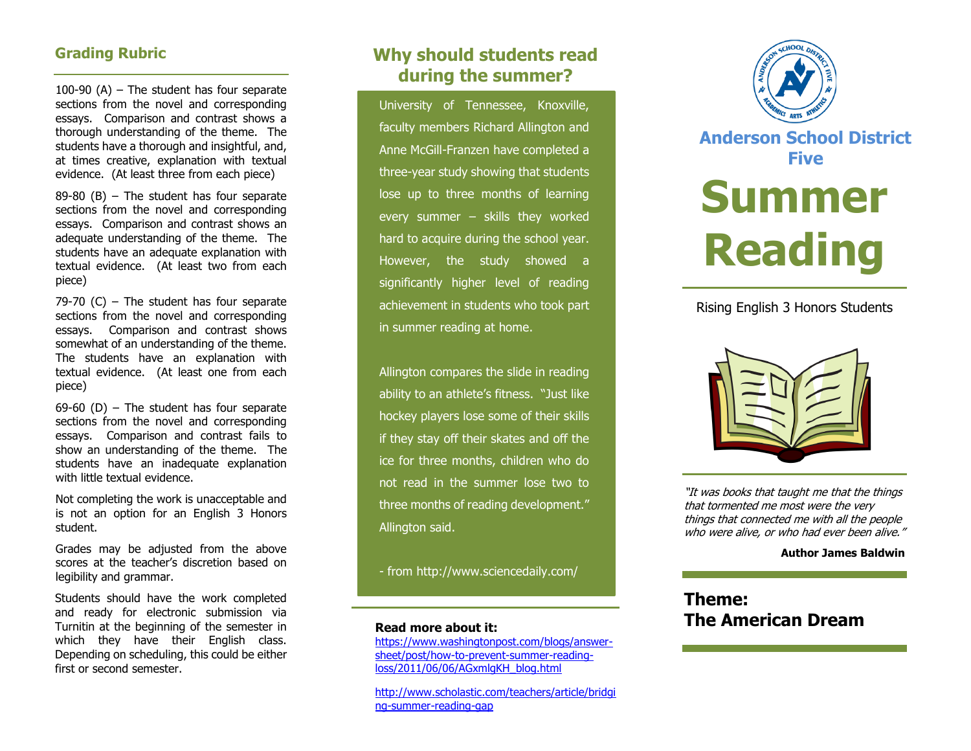## **Grading Rubric**

100-90 (A) – The student has four separate sections from the novel and corresponding essays. Comparison and contrast shows a thorough understanding of the theme. The students have a thorough and insightful, and, at times creative, explanation with textual evidence. (At least three from each piece)

89-80 (B) – The student has four separate sections from the novel and corresponding essays. Comparison and contrast shows an adequate understanding of the theme. The students have an adequate explanation with textual evidence. (At least two from each piece)

79-70 (C) – The student has four separate sections from the novel and corresponding essays. Comparison and contrast shows somewhat of an understanding of the theme. The students have an explanation with textual evidence. (At least one from each piece)

69-60 (D) – The student has four separate sections from the novel and corresponding essays. Comparison and contrast fails to show an understanding of the theme. The students have an inadequate explanation with little textual evidence.

Not completing the work is unacceptable and is not an option for an English 3 Honors student.

Grades may be adjusted from the above scores at the teacher's discretion based on legibility and grammar.

Students should have the work completed and ready for electronic submission via Turnitin at the beginning of the semester in which they have their English class. Depending on scheduling, this could be either first or second semester.

# **Why should students read during the summer?**

University of Tennessee, Knoxville, faculty members Richard Allington and Anne McGill-Franzen have completed a three-year study showing that students lose up to three months of learning every summer – skills they worked hard to acquire during the school year. However, the study showed a significantly higher level of reading achievement in students who took part in summer reading at home.

Allington compares the slide in reading ability to an athlete's fitness. "Just like hockey players lose some of their skills if they stay off their skates and off the ice for three months, children who do not read in the summer lose two to three months of reading development." Allington said.

- from<http://www.sciencedaily.com/>

#### **Read more about it:**

[https://www.washingtonpost.com/blogs/answer](https://www.washingtonpost.com/blogs/answer-sheet/post/how-to-prevent-summer-reading-loss/2011/06/06/AGxmlgKH_blog.html)[sheet/post/how-to-prevent-summer-reading](https://www.washingtonpost.com/blogs/answer-sheet/post/how-to-prevent-summer-reading-loss/2011/06/06/AGxmlgKH_blog.html)[loss/2011/06/06/AGxmlgKH\\_blog.html](https://www.washingtonpost.com/blogs/answer-sheet/post/how-to-prevent-summer-reading-loss/2011/06/06/AGxmlgKH_blog.html)

[http://www.scholastic.com/teachers/article/bridgi](http://www.scholastic.com/teachers/article/bridging-summer-reading-gap) [ng-summer-reading-gap](http://www.scholastic.com/teachers/article/bridging-summer-reading-gap)



**Anderson School District Five**

# **Summer Reading**

## Rising English 3 Honors Students



"It was books that taught me that the things that tormented me most were the very things that connected me with all the people who were alive, or who had ever been alive."

#### **Author James Baldwin**

# **Theme: The American Dream**